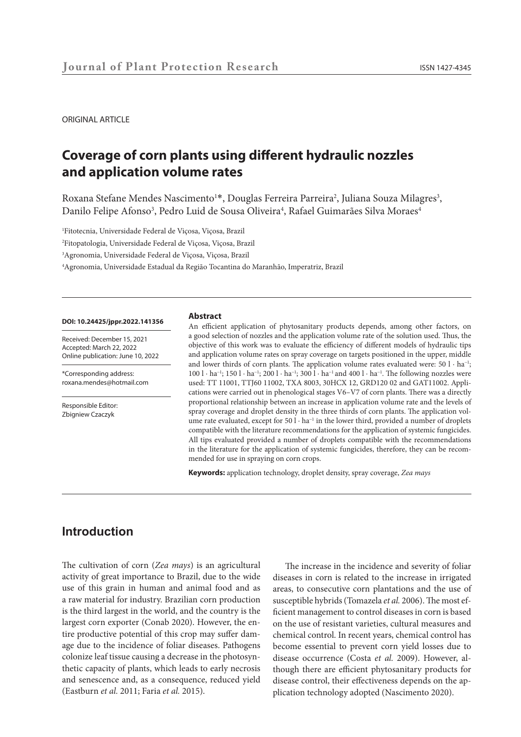ORIGINAL ARTICLE

# **Coverage of corn plants using different hydraulic nozzles and application volume rates**

Roxana Stefane Mendes Nascimento<sup>1\*</sup>, Douglas Ferreira Parreira<sup>2</sup>, Juliana Souza Milagres<sup>3</sup>, Danilo Felipe Afonso<sup>3</sup>, Pedro Luid de Sousa Oliveira<sup>4</sup>, Rafael Guimarães Silva Moraes<sup>4</sup>

 Fitotecnia, Universidade Federal de Viçosa, Viçosa, Brazil Fitopatologia, Universidade Federal de Viçosa, Viçosa, Brazil Agronomia, Universidade Federal de Viçosa, Viçosa, Brazil Agronomia, Universidade Estadual da Região Tocantina do Maranhão, Imperatriz, Brazil

#### **DOI: 10.24425/jppr.2022.141356**

Received: December 15, 2021 Accepted: March 22, 2022 Online publication: June 10, 2022

\*Corresponding address: roxana.mendes@hotmail.com

Responsible Editor: Zbigniew Czaczyk

#### **Abstract**

An efficient application of phytosanitary products depends, among other factors, on a good selection of nozzles and the application volume rate of the solution used. Thus, the objective of this work was to evaluate the efficiency of different models of hydraulic tips and application volume rates on spray coverage on targets positioned in the upper, middle and lower thirds of corn plants. The application volume rates evaluated were: 50 l · ha<sup>-1</sup>; 100 l · ha<sup>-1</sup>; 150 l · ha<sup>-1</sup>; 200 l · ha<sup>-1</sup>; 300 l · ha<sup>-1</sup> and 400 l · ha<sup>-1</sup>. The following nozzles were used: TT 11001, TTJ60 11002, TXA 8003, 30HCX 12, GRD120 02 and GAT11002. Applications were carried out in phenological stages V6–V7 of corn plants. There was a directly proportional relationship between an increase in application volume rate and the levels of spray coverage and droplet density in the three thirds of corn plants. The application volume rate evaluated, except for 50 l · ha<sup>-1</sup> in the lower third, provided a number of droplets compatible with the literature recommendations for the application of systemic fungicides. All tips evaluated provided a number of droplets compatible with the recommendations in the literature for the application of systemic fungicides, therefore, they can be recommended for use in spraying on corn crops.

**Keywords:** application technology, droplet density, spray coverage, *Zea mays*

# **Introduction**

The cultivation of corn (*Zea mays*) is an agricultural activity of great importance to Brazil, due to the wide use of this grain in human and animal food and as a raw material for industry. Brazilian corn production is the third largest in the world, and the country is the largest corn exporter (Conab 2020). However, the entire productive potential of this crop may suffer damage due to the incidence of foliar diseases. Pathogens colonize leaf tissue causing a decrease in the photosynthetic capacity of plants, which leads to early necrosis and senescence and, as a consequence, reduced yield (Eastburn *et al.* 2011; Faria *et al.* 2015).

The increase in the incidence and severity of foliar diseases in corn is related to the increase in irrigated areas, to consecutive corn plantations and the use of susceptible hybrids (Tomazela *et al.* 2006). The most efficient management to control diseases in corn is based on the use of resistant varieties, cultural measures and chemical control. In recent years, chemical control has become essential to prevent corn yield losses due to disease occurrence (Costa *et al.* 2009). However, although there are efficient phytosanitary products for disease control, their effectiveness depends on the application technology adopted (Nascimento 2020).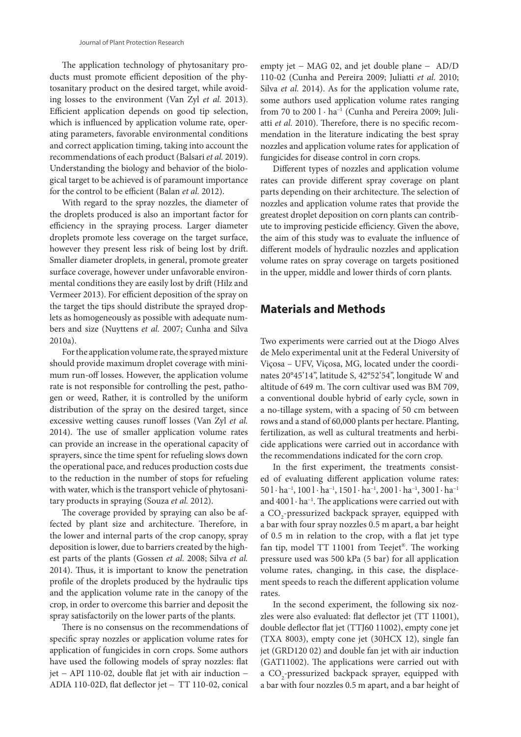The application technology of phytosanitary products must promote efficient deposition of the phytosanitary product on the desired target, while avoiding losses to the environment (Van Zyl *et al.* 2013). Efficient application depends on good tip selection, which is influenced by application volume rate, operating parameters, favorable environmental conditions and correct application timing, taking into account the recommendations of each product (Balsari *et al.* 2019). Understanding the biology and behavior of the biological target to be achieved is of paramount importance for the control to be efficient (Balan *et al.* 2012).

With regard to the spray nozzles, the diameter of the droplets produced is also an important factor for efficiency in the spraying process. Larger diameter droplets promote less coverage on the target surface, however they present less risk of being lost by drift. Smaller diameter droplets, in general, promote greater surface coverage, however under unfavorable environmental conditions they are easily lost by drift (Hilz and Vermeer 2013). For efficient deposition of the spray on the target the tips should distribute the sprayed droplets as homogeneously as possible with adequate numbers and size (Nuyttens *et al.* 2007; Cunha and Silva 2010a).

For the application volume rate, the sprayed mixture should provide maximum droplet coverage with minimum run-off losses. However, the application volume rate is not responsible for controlling the pest, pathogen or weed, Rather, it is controlled by the uniform distribution of the spray on the desired target, since excessive wetting causes runoff losses (Van Zyl *et al.* 2014). The use of smaller application volume rates can provide an increase in the operational capacity of sprayers, since the time spent for refueling slows down the operational pace, and reduces production costs due to the reduction in the number of stops for refueling with water, which is the transport vehicle of phytosanitary products in spraying (Souza *et al.* 2012).

The coverage provided by spraying can also be affected by plant size and architecture. Therefore, in the lower and internal parts of the crop canopy, spray deposition is lower, due to barriers created by the highest parts of the plants (Gossen *et al.* 2008; Silva *et al.* 2014). Thus, it is important to know the penetration profile of the droplets produced by the hydraulic tips and the application volume rate in the canopy of the crop, in order to overcome this barrier and deposit the spray satisfactorily on the lower parts of the plants.

There is no consensus on the recommendations of specific spray nozzles or application volume rates for application of fungicides in corn crops. Some authors have used the following models of spray nozzles: flat jet − API 110-02, double flat jet with air induction − ADIA 110-02D, flat deflector jet − TT 110-02, conical

empty jet − MAG 02, and jet double plane − AD/D 110-02 (Cunha and Pereira 2009; Juliatti *et al.* 2010; Silva *et al.* 2014). As for the application volume rate, some authors used application volume rates ranging from 70 to 200 l · ha<sup>−</sup><sup>1</sup> (Cunha and Pereira 2009; Juliatti *et al.* 2010). Therefore, there is no specific recommendation in the literature indicating the best spray nozzles and application volume rates for application of fungicides for disease control in corn crops.

Different types of nozzles and application volume rates can provide different spray coverage on plant parts depending on their architecture. The selection of nozzles and application volume rates that provide the greatest droplet deposition on corn plants can contribute to improving pesticide efficiency. Given the above, the aim of this study was to evaluate the influence of different models of hydraulic nozzles and application volume rates on spray coverage on targets positioned in the upper, middle and lower thirds of corn plants.

### **Materials and Methods**

Two experiments were carried out at the Diogo Alves de Melo experimental unit at the Federal University of Viçosa – UFV, Viçosa, MG, located under the coordinates 20°45'14'', latitude S, 42°52'54'', longitude W and altitude of 649 m. The corn cultivar used was BM 709, a conventional double hybrid of early cycle, sown in a no-tillage system, with a spacing of 50 cm between rows and a stand of 60,000 plants per hectare. Planting, fertilization, as well as cultural treatments and herbicide applications were carried out in accordance with the recommendations indicated for the corn crop.

In the first experiment, the treatments consisted of evaluating different application volume rates:  $501 \cdot ha^{-1}$ ,  $1001 \cdot ha^{-1}$ ,  $1501 \cdot ha^{-1}$ ,  $2001 \cdot ha^{-1}$ ,  $3001 \cdot ha^{-1}$ and 400 l · ha<sup>-1</sup>. The applications were carried out with a  $\mathrm{CO}_2$ -pressurized backpack sprayer, equipped with a bar with four spray nozzles 0.5 m apart, a bar height of 0.5 m in relation to the crop, with a flat jet type fan tip, model TT 11001 from Teejet®. The working pressure used was 500 kPa (5 bar) for all application volume rates, changing, in this case, the displacement speeds to reach the different application volume rates.

In the second experiment, the following six nozzles were also evaluated: flat deflector jet (TT 11001), double deflector flat jet (TTJ60 11002), empty cone jet (TXA 8003), empty cone jet (30HCX 12), single fan jet (GRD120 02) and double fan jet with air induction (GAT11002). The applications were carried out with a  $\mathrm{CO}_2$ -pressurized backpack sprayer, equipped with a bar with four nozzles 0.5 m apart, and a bar height of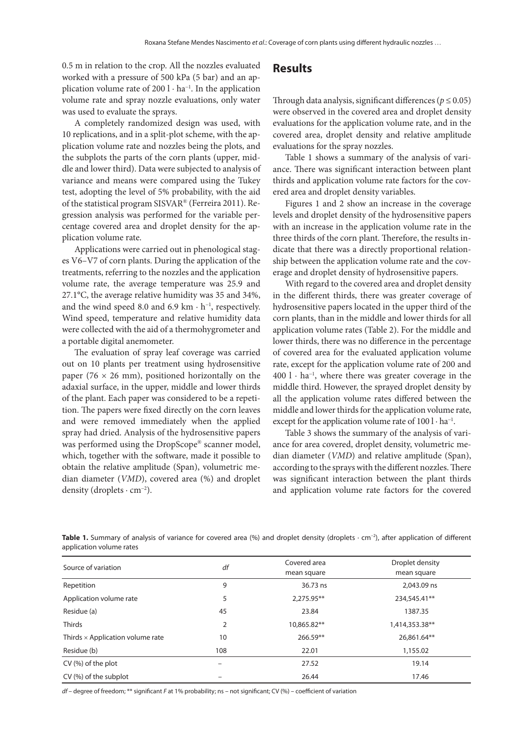0.5 m in relation to the crop. All the nozzles evaluated worked with a pressure of 500 kPa (5 bar) and an application volume rate of 200 l · ha<sup>-1</sup>. In the application volume rate and spray nozzle evaluations, only water was used to evaluate the sprays.

A completely randomized design was used, with 10 replications, and in a split-plot scheme, with the application volume rate and nozzles being the plots, and the subplots the parts of the corn plants (upper, middle and lower third). Data were subjected to analysis of variance and means were compared using the Tukey test, adopting the level of 5% probability, with the aid of the statistical program SISVAR® (Ferreira 2011). Regression analysis was performed for the variable percentage covered area and droplet density for the application volume rate.

Applications were carried out in phenological stages V6–V7 of corn plants. During the application of the treatments, referring to the nozzles and the application volume rate, the average temperature was 25.9 and 27.1°C, the average relative humidity was 35 and 34%, and the wind speed 8.0 and 6.9 km · h<sup>−</sup><sup>1</sup> , respectively. Wind speed, temperature and relative humidity data were collected with the aid of a thermohygrometer and a portable digital anemometer.

The evaluation of spray leaf coverage was carried out on 10 plants per treatment using hydrosensitive paper (76  $\times$  26 mm), positioned horizontally on the adaxial surface, in the upper, middle and lower thirds of the plant. Each paper was considered to be a repetition. The papers were fixed directly on the corn leaves and were removed immediately when the applied spray had dried. Analysis of the hydrosensitive papers was performed using the DropScope® scanner model, which, together with the software, made it possible to obtain the relative amplitude (Span), volumetric median diameter (*VMD*), covered area (%) and droplet density (droplets · cm<sup>-2</sup>).

### **Results**

Through data analysis, significant differences ( $p \le 0.05$ ) were observed in the covered area and droplet density evaluations for the application volume rate, and in the covered area, droplet density and relative amplitude evaluations for the spray nozzles.

Table 1 shows a summary of the analysis of variance. There was significant interaction between plant thirds and application volume rate factors for the covered area and droplet density variables.

Figures 1 and 2 show an increase in the coverage levels and droplet density of the hydrosensitive papers with an increase in the application volume rate in the three thirds of the corn plant. Therefore, the results indicate that there was a directly proportional relationship between the application volume rate and the coverage and droplet density of hydrosensitive papers.

With regard to the covered area and droplet density in the different thirds, there was greater coverage of hydrosensitive papers located in the upper third of the corn plants, than in the middle and lower thirds for all application volume rates (Table 2). For the middle and lower thirds, there was no difference in the percentage of covered area for the evaluated application volume rate, except for the application volume rate of 200 and 400 l · ha<sup>−</sup><sup>1</sup> , where there was greater coverage in the middle third. However, the sprayed droplet density by all the application volume rates differed between the middle and lower thirds for the application volume rate, except for the application volume rate of 100 l · ha<sup>-1</sup>.

Table 3 shows the summary of the analysis of variance for area covered, droplet density, volumetric median diameter (*VMD*) and relative amplitude (Span), according to the sprays with the different nozzles. There was significant interaction between the plant thirds and application volume rate factors for the covered

Table 1. Summary of analysis of variance for covered area (%) and droplet density (droplets · cm<sup>-2</sup>), after application of different application volume rates

| Source of variation                     | df             | Covered area<br>mean square | Droplet density<br>mean square |
|-----------------------------------------|----------------|-----------------------------|--------------------------------|
| Repetition                              | 9              | 36.73 ns                    | 2,043.09 ns                    |
| Application volume rate                 | 5              | 2,275.95**                  | 234,545.41**                   |
| Residue (a)                             | 45             | 23.84                       | 1387.35                        |
| <b>Thirds</b>                           | $\overline{2}$ | 10,865.82**                 | 1,414,353.38**                 |
| Thirds $\times$ Application volume rate | 10             | 266.59**                    | 26,861.64**                    |
| Residue (b)                             | 108            | 22.01                       | 1,155.02                       |
| $CV(%)$ of the plot                     | -              | 27.52                       | 19.14                          |
| CV (%) of the subplot                   |                | 26.44                       | 17.46                          |

*df* – degree of freedom; \*\* significant *F* at 1% probability; ns – not significant; CV (%) – coefficient of variation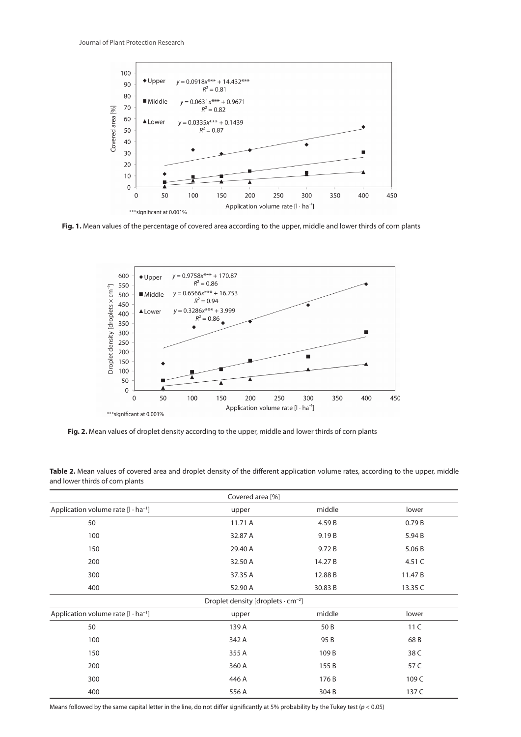

Fig. 1. Mean values of the percentage of covered area according to the upper, middle and lower thirds of corn plants



Fig. 2. Mean values of droplet density according to the upper, middle and lower thirds of corn plants

|                                                      | Covered area [%] |         |                 |  |
|------------------------------------------------------|------------------|---------|-----------------|--|
| Application volume rate $[I \cdot ha^{-1}]$          | upper            | middle  | lower           |  |
| 50                                                   | 11.71 A          | 4.59B   | 0.79B           |  |
| 100                                                  | 32.87 A          | 9.19B   | 5.94 B          |  |
| 150                                                  | 29.40 A          | 9.72B   | 5.06 B          |  |
| 200                                                  | 32.50 A          | 14.27B  | 4.51 C          |  |
| 300                                                  | 37.35 A          | 12.88 B | 11.47B          |  |
| 400                                                  | 52.90 A          | 30.83 B | 13.35 C         |  |
| Droplet density [droplets $\cdot$ cm <sup>-2</sup> ] |                  |         |                 |  |
| Application volume rate $[I \cdot ha^{-1}]$          | upper            | middle  | lower           |  |
| 50                                                   | 139 A            | 50 B    | 11 <sup>C</sup> |  |
| 100                                                  | 342 A            | 95 B    | 68B             |  |
| 150                                                  | 355 A            | 109B    | 38 C            |  |
| 200                                                  | 360 A            | 155B    | 57 C            |  |
| 300                                                  | 446 A            | 176 B   | 109 C           |  |
| 400                                                  | 556 A            | 304B    | 137 C           |  |

Table 2. Mean values of covered area and droplet density of the different application volume rates, according to the upper, middle and lower thirds of corn plants

Means followed by the same capital letter in the line, do not differ significantly at 5% probability by the Tukey test  $(p < 0.05)$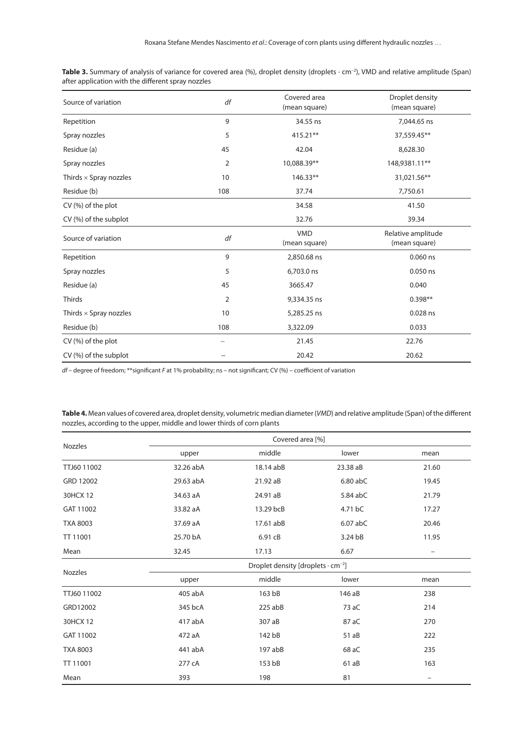| Source of variation           | df             | Covered area<br>(mean square) | Droplet density<br>(mean square)    |
|-------------------------------|----------------|-------------------------------|-------------------------------------|
| Repetition                    | 9              | 34.55 ns                      | 7,044.65 ns                         |
| Spray nozzles                 | 5              | $415.21**$                    | 37,559.45**                         |
| Residue (a)                   | 45             | 42.04                         | 8,628.30                            |
| Spray nozzles                 | $\overline{2}$ | 10,088.39**                   | 148,9381.11**                       |
| Thirds $\times$ Spray nozzles | 10             | 146.33**                      | 31,021.56**                         |
| Residue (b)                   | 108            | 37.74                         | 7,750.61                            |
| CV (%) of the plot            |                | 34.58                         | 41.50                               |
| CV (%) of the subplot         |                | 32.76                         | 39.34                               |
| Source of variation           | df             | <b>VMD</b><br>(mean square)   | Relative amplitude<br>(mean square) |
| Repetition                    | 9              | 2,850.68 ns                   | $0.060$ ns                          |
| Spray nozzles                 | 5              | 6,703.0 ns                    | 0.050 ns                            |
| Residue (a)                   | 45             | 3665.47                       | 0.040                               |
| <b>Thirds</b>                 | 2              | 9,334.35 ns                   | $0.398**$                           |
| Thirds $\times$ Spray nozzles | 10             | 5,285.25 ns                   | 0.028 ns                            |
| Residue (b)                   | 108            | 3,322.09                      | 0.033                               |
| CV (%) of the plot            |                | 21.45                         | 22.76                               |
| CV (%) of the subplot         |                | 20.42                         | 20.62                               |

**Table 3.** Summary of analysis of variance for covered area (%), droplet density (droplets · cm<sup>−</sup><sup>2</sup> ), VMD and relative amplitude (Span) after application with the different spray nozzles

*df* – degree of freedom; \*\*significant *F* at 1% probability; ns – not significant; CV (%) – coefficient of variation

**Table 4.** Mean values of covered area, droplet density, volumetric median diameter (*VMD*) and relative amplitude (Span) of the different nozzles, according to the upper, middle and lower thirds of corn plants

| Nozzles         | Covered area [%]                                     |           |            |                          |
|-----------------|------------------------------------------------------|-----------|------------|--------------------------|
|                 | upper                                                | middle    | lower      | mean                     |
| TTJ60 11002     | 32.26 abA                                            | 18.14 abB | 23.38 aB   | 21.60                    |
| GRD 12002       | 29.63 abA                                            | 21.92 aB  | $6.80$ abC | 19.45                    |
| 30HCX 12        | 34.63 aA                                             | 24.91 aB  | 5.84 abC   | 21.79                    |
| GAT 11002       | 33.82 aA                                             | 13.29 bcB | 4.71 bC    | 17.27                    |
| <b>TXA 8003</b> | 37.69 aA                                             | 17.61 abB | $6.07$ abC | 20.46                    |
| TT 11001        | 25.70 bA                                             | 6.91 cB   | 3.24 bB    | 11.95                    |
| Mean            | 32.45                                                | 17.13     | 6.67       | $\overline{\phantom{0}}$ |
| <b>Nozzles</b>  | Droplet density [droplets $\cdot$ cm <sup>-2</sup> ] |           |            |                          |
|                 | upper                                                | middle    | lower      | mean                     |
| TTJ60 11002     | 405 abA                                              | 163 bB    | 146 aB     | 238                      |
| GRD12002        | 345 bcA                                              | $225$ abB | 73 aC      | 214                      |
| 30HCX 12        | 417 abA                                              | 307 aB    | 87 aC      | 270                      |
| GAT 11002       | 472 aA                                               | 142 bB    | 51 aB      | 222                      |
| <b>TXA 8003</b> | 441 abA                                              | 197 abB   | 68 aC      | 235                      |
| TT 11001        | 277 cA                                               | 153 bB    | 61aB       | 163                      |
| Mean            | 393                                                  | 198       | 81         |                          |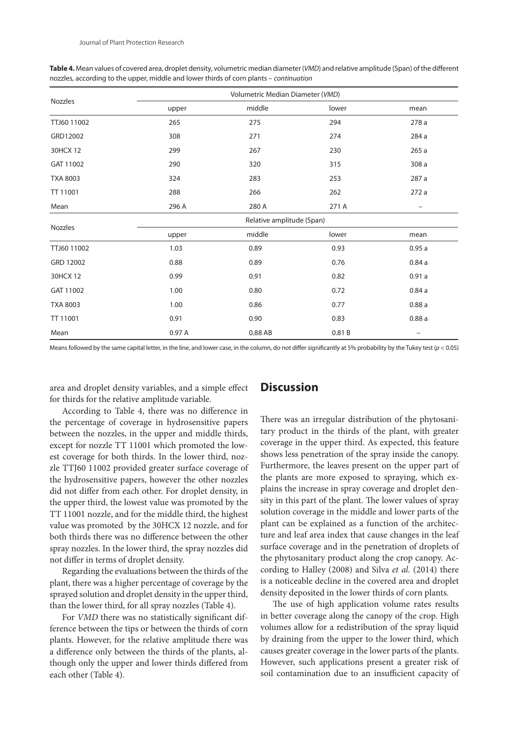| Nozzles         | Volumetric Median Diameter (VMD) |         |       |       |
|-----------------|----------------------------------|---------|-------|-------|
|                 | upper                            | middle  | lower | mean  |
| TTJ60 11002     | 265                              | 275     | 294   | 278 a |
| GRD12002        | 308                              | 271     | 274   | 284 a |
| 30HCX 12        | 299                              | 267     | 230   | 265a  |
| GAT 11002       | 290                              | 320     | 315   | 308 a |
| <b>TXA 8003</b> | 324                              | 283     | 253   | 287 a |
| TT 11001        | 288                              | 266     | 262   | 272a  |
| Mean            | 296 A                            | 280 A   | 271 A |       |
|                 | Relative amplitude (Span)        |         |       |       |
| Nozzles         | upper                            | middle  | lower | mean  |
| TTJ60 11002     | 1.03                             | 0.89    | 0.93  | 0.95a |
| GRD 12002       | 0.88                             | 0.89    | 0.76  | 0.84a |
| 30HCX 12        | 0.99                             | 0.91    | 0.82  | 0.91a |
| GAT 11002       | 1.00                             | 0.80    | 0.72  | 0.84a |
| <b>TXA 8003</b> | 1.00                             | 0.86    | 0.77  | 0.88a |
| TT 11001        | 0.91                             | 0.90    | 0.83  | 0.88a |
| Mean            | 0.97A                            | 0.88 AB | 0.81B | -     |

**Table 4.** Mean values of covered area, droplet density, volumetric median diameter (*VMD*) and relative amplitude (Span) of the different nozzles, according to the upper, middle and lower thirds of corn plants – *continuation*

Means followed by the same capital letter, in the line, and lower case, in the column, do not differ significantly at 5% probability by the Tukey test ( $p < 0.05$ )

area and droplet density variables, and a simple effect for thirds for the relative amplitude variable.

### **Discussion**

According to Table 4, there was no difference in the percentage of coverage in hydrosensitive papers between the nozzles, in the upper and middle thirds, except for nozzle TT 11001 which promoted the lowest coverage for both thirds. In the lower third, nozzle TTJ60 11002 provided greater surface coverage of the hydrosensitive papers, however the other nozzles did not differ from each other. For droplet density, in the upper third, the lowest value was promoted by the TT 11001 nozzle, and for the middle third, the highest value was promoted by the 30HCX 12 nozzle, and for both thirds there was no difference between the other spray nozzles. In the lower third, the spray nozzles did not differ in terms of droplet density.

Regarding the evaluations between the thirds of the plant, there was a higher percentage of coverage by the sprayed solution and droplet density in the upper third, than the lower third, for all spray nozzles (Table 4).

For *VMD* there was no statistically significant difference between the tips or between the thirds of corn plants. However, for the relative amplitude there was a difference only between the thirds of the plants, although only the upper and lower thirds differed from each other (Table 4).

There was an irregular distribution of the phytosanitary product in the thirds of the plant, with greater coverage in the upper third. As expected, this feature shows less penetration of the spray inside the canopy. Furthermore, the leaves present on the upper part of the plants are more exposed to spraying, which explains the increase in spray coverage and droplet density in this part of the plant. The lower values of spray solution coverage in the middle and lower parts of the plant can be explained as a function of the architecture and leaf area index that cause changes in the leaf surface coverage and in the penetration of droplets of the phytosanitary product along the crop canopy. According to Halley (2008) and Silva *et al.* (2014) there is a noticeable decline in the covered area and droplet density deposited in the lower thirds of corn plants.

The use of high application volume rates results in better coverage along the canopy of the crop. High volumes allow for a redistribution of the spray liquid by draining from the upper to the lower third, which causes greater coverage in the lower parts of the plants. However, such applications present a greater risk of soil contamination due to an insufficient capacity of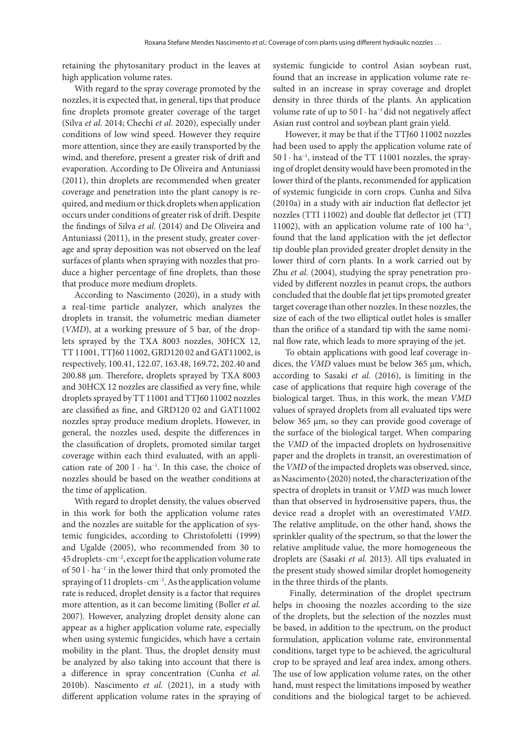retaining the phytosanitary product in the leaves at high application volume rates.

With regard to the spray coverage promoted by the nozzles, it is expected that, in general, tips that produce fine droplets promote greater coverage of the target (Silva *et al.* 2014; Chechi *et al.* 2020), especially under conditions of low wind speed. However they require more attention, since they are easily transported by the wind, and therefore, present a greater risk of drift and evaporation. According to De Oliveira and Antuniassi (2011), thin droplets are recommended when greater coverage and penetration into the plant canopy is required, and medium or thick droplets when application occurs under conditions of greater risk of drift. Despite the findings of Silva *et al.* (2014) and De Oliveira and Antuniassi (2011), in the present study, greater coverage and spray deposition was not observed on the leaf surfaces of plants when spraying with nozzles that produce a higher percentage of fine droplets, than those that produce more medium droplets.

According to Nascimento (2020), in a study with a real-time particle analyzer, which analyzes the droplets in transit, the volumetric median diameter (*VMD*), at a working pressure of 5 bar, of the droplets sprayed by the TXA 8003 nozzles, 30HCX 12, TT 11001, TTJ60 11002, GRD120 02 and GAT11002, is respectively, 100.41, 122.07, 163.48, 169.72, 202.40 and 200.88 µm. Therefore, droplets sprayed by TXA 8003 and 30HCX 12 nozzles are classified as very fine, while droplets sprayed by TT 11001 and TTJ60 11002 nozzles are classified as fine, and GRD120 02 and GAT11002 nozzles spray produce medium droplets. However, in general, the nozzles used, despite the differences in the classification of droplets, promoted similar target coverage within each third evaluated, with an application rate of 200 l · ha<sup>-1</sup>. In this case, the choice of nozzles should be based on the weather conditions at the time of application.

With regard to droplet density, the values observed in this work for both the application volume rates and the nozzles are suitable for the application of systemic fungicides, according to Christofoletti (1999) and Ugalde (2005), who recommended from 30 to 45 droplets · cm<sup>−</sup><sup>2</sup> , except for the application volume rate of 50 l · ha<sup>−</sup><sup>1</sup> in the lower third that only promoted the spraying of 11 droplets · cm<sup>-2</sup>. As the application volume rate is reduced, droplet density is a factor that requires more attention, as it can become limiting (Boller *et al.* 2007). However, analyzing droplet density alone can appear as a higher application volume rate, especially when using systemic fungicides, which have a certain mobility in the plant. Thus, the droplet density must be analyzed by also taking into account that there is a difference in spray concentration (Cunha *et al.* 2010b). Nascimento *et al.* (2021), in a study with different application volume rates in the spraying of

systemic fungicide to control Asian soybean rust, found that an increase in application volume rate resulted in an increase in spray coverage and droplet density in three thirds of the plants. An application volume rate of up to  $50$  l  $\cdot$  ha<sup>-1</sup> did not negatively affect Asian rust control and soybean plant grain yield.

However, it may be that if the TTJ60 11002 nozzles had been used to apply the application volume rate of 50 l · ha<sup>−</sup><sup>1</sup> , instead of the TT 11001 nozzles, the spraying of droplet density would have been promoted in the lower third of the plants, recommended for application of systemic fungicide in corn crops. Cunha and Silva (2010a) in a study with air induction flat deflector jet nozzles (TTI 11002) and double flat deflector jet (TTJ 11002), with an application volume rate of 100 ha<sup>-1</sup>, found that the land application with the jet deflector tip double plan provided greater droplet density in the lower third of corn plants. In a work carried out by Zhu *et al.* (2004), studying the spray penetration provided by different nozzles in peanut crops, the authors concluded that the double flat jet tips promoted greater target coverage than other nozzles. In these nozzles, the size of each of the two elliptical outlet holes is smaller than the orifice of a standard tip with the same nominal flow rate, which leads to more spraying of the jet.

To obtain applications with good leaf coverage indices, the *VMD* values must be below 365 μm, which, according to Sasaki *et al.* (2016), is limiting in the case of applications that require high coverage of the biological target. Thus, in this work, the mean *VMD* values of sprayed droplets from all evaluated tips were below 365 μm, so they can provide good coverage of the surface of the biological target. When comparing the *VMD* of the impacted droplets on hydrosensitive paper and the droplets in transit, an overestimation of the *VMD* of the impacted droplets was observed, since, as Nascimento (2020) noted, the characterization of the spectra of droplets in transit or *VMD* was much lower than that observed in hydrosensitive papers, thus, the device read a droplet with an overestimated *VMD*. The relative amplitude, on the other hand, shows the sprinkler quality of the spectrum, so that the lower the relative amplitude value, the more homogeneous the droplets are (Sasaki *et al.* 2013). All tips evaluated in the present study showed similar droplet homogeneity in the three thirds of the plants.

 Finally, determination of the droplet spectrum helps in choosing the nozzles according to the size of the droplets, but the selection of the nozzles must be based, in addition to the spectrum, on the product formulation, application volume rate, environmental conditions, target type to be achieved, the agricultural crop to be sprayed and leaf area index, among others. The use of low application volume rates, on the other hand, must respect the limitations imposed by weather conditions and the biological target to be achieved.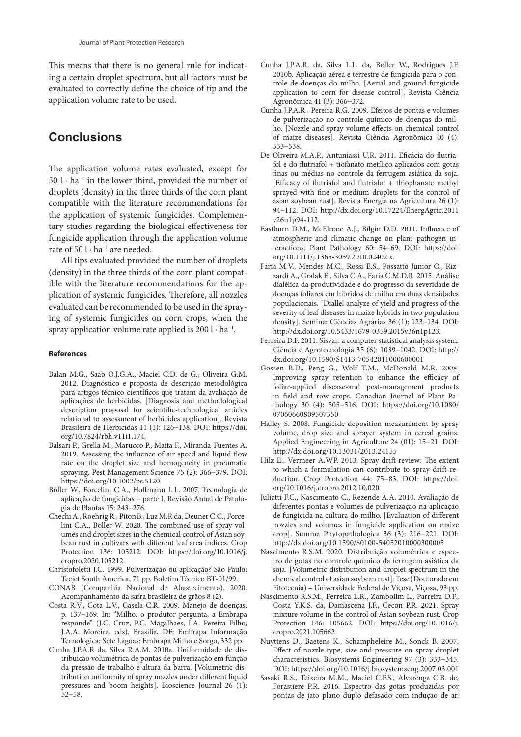This means that there is no general rule for indicating a certain droplet spectrum, but all factors must be evaluated to correctly define the choice of tip and the application volume rate to be used.

# **Conclusions**

The application volume rates evaluated, except for 50 l · ha<sup>−</sup><sup>1</sup> in the lower third, provided the number of droplets (density) in the three thirds of the corn plant compatible with the literature recommendations for the application of systemic fungicides. Complementary studies regarding the biological effectiveness for fungicide application through the application volume rate of  $50$  l $\cdot$  ha<sup>-1</sup> are needed.

All tips evaluated provided the number of droplets (density) in the three thirds of the corn plant compatible with the literature recommendations for the application of systemic fungicides. Therefore, all nozzles evaluated can be recommended to be used in the spraying of systemic fungicides on corn crops, when the spray application volume rate applied is 200 l · ha<sup>-1</sup>.

#### **References**

- Balan M.G., Saab O.J.G.A., Maciel C.D. de G., Oliveira G.M. 2012. Diagnóstico e proposta de descrição metodológica para artigos técnico-científicos que tratam da avaliação de aplicações de herbicidas. [Diagnosis and methodological description proposal for scientific-technological articles relational to assessment of herbicides application]. Revista Brasileira de Herbicidas 11 (1): 126−138. DOI: https://doi. org/10.7824/rbh.v11i1.174.
- Balsari P., Grella M., Marucco P., Matta F., Miranda-Fuentes A. 2019. Assessing the influence of air speed and liquid flow rate on the droplet size and homogeneity in pneumatic spraying. Pest Management Science 75 (2): 366−379. DOI: https://doi.org/10.1002/ps.5120.
- Boller W., Forcelini C.A., Hoffmann L.L. 2007. Tecnologia de aplicação de fungicidas − parte I. Revisão Anual de Patologia de Plantas 15: 243−276.
- Chechi A., Roehrig R., PitonB., Luz M.R da, Deuner C.C., Forcelini C.A., Boller W. 2020. The combined use of spray volumes and droplet sizes in the chemical control of Asian soybean rust in cultivars with different leaf area índices. Crop Protection 136: 105212. DOI: https://doi.org/10.1016/j. cropro.2020.105212.
- Christofoletti J.C. 1999. Pulverização ou aplicação? São Paulo: Teejet South America, 71 pp. Boletim Técnico BT-01/99.
- CONAB (Companhia Nacional de Abastecimento). 2020. Acompanhamento da safra brasileira de grãos 8 (2).
- Costa R.V., Cota L.V., Casela C.R. 2009. Manejo de doenças. p. 137−169. In: "Milho: o produtor pergunta, a Embrapa responde" (J.C. Cruz, P.C. Magalhaes, I.A. Pereira Filho, J.A.A. Moreira, eds). Brasília, DF: Embrapa Informação Tecnológica; Sete Lagoas: Embrapa Milho e Sorgo, 332 pp.
- Cunha J.P.A.R da, Silva R.A.M. 2010a. Uniformidade de distribuição volumétrica de pontas de pulverização em função da pressão de trabalho e altura da barra. [Volumetric distribution uniformity of spray nozzles under different liquid pressures and boom heights]. Bioscience Journal 26 (1): 52−58.
- Cunha J.P.A.R. da, Silva L.L. da, Boller W., Rodrigues J.F. 2010b. Aplicação aérea e terrestre de fungicida para o controle de doenças do milho. [Aerial and ground fungicide application to corn for disease control]. Revista Ciência Agronômica 41 (3): 366−372.
- Cunha J.P.A.R., Pereira R.G. 2009. Efeitos de pontas e volumes de pulverização no controle químico de doenças do milho. [Nozzle and spray volume effects on chemical control of maize diseases]. Revista Ciência Agronômica 40 (4): 533−538.
- De Oliveira M.A.P., Antuniassi U.R. 2011. Eficácia do flutriafol e do flutriafol + tiofanato metílico aplicados com gotas finas ou médias no controle da ferrugem asiática da soja. [Efficacy of flutriafol and flutriafol + thiophanate methyl sprayed with fine or medium droplets for the control of asian soybean rust]. Revista Energia na Agricultura 26 (1): 94−112. DOI: http://dx.doi.org/10.17224/EnergAgric.2011 v26n1p94-112.
- Eastburn D.M., McElrone A.J., Bilgin D.D. 2011. Influence of atmospheric and climatic change on plant–pathogen interactions. Plant Pathology 60: 54−69. DOI: https://doi. org/10.1111/j.1365-3059.2010.02402.x.
- Faria M.V., Mendes M.C., Rossi E.S., Possatto Junior O., Rizzardi A., Gralak E., Silva C.A., Faria C.M.D.R. 2015. Análise dialélica da produtividade e do progresso da severidade de doenças foliares em híbridos de milho em duas densidades populacionais. [Diallel analyze of yield and progress of the severity of leaf diseases in maize hybrids in two population density]. Semina: Ciências Agrárias 36 (1): 123−134. DOI: http://dx.doi.org/10.5433/1679-0359.2015v36n1p123.
- Ferreira D.F. 2011. Sisvar: a computer statistical analysis system. Ciência e Agrotecnologia 35 (6): 1039−1042. DOI: http:// dx.doi.org/10.1590/S1413-70542011000600001
- Gossen B.D., Peng G., Wolf T.M., McDonald M.R. 2008. Improving spray retention to enhance the efficacy of foliar-applied disease-and pest-management products in field and row crops. Canadian Journal of Plant Pathology 30 (4): 505−516. DOI: https://doi.org/10.1080/ 07060660809507550
- Halley S. 2008. Fungicide deposition measurement by spray volume, drop size and sprayer system in cereal grains. Applied Engineering in Agriculture 24 (01): 15−21. DOI: http://dx.doi.org/10.13031/2013.24155
- Hilz E., Vermeer A.WP. 2013. Spray drift review: The extent to which a formulation can contribute to spray drift reduction. Crop Protection 44: 75−83. DOI: https://doi. org/10.1016/j.cropro.2012.10.020
- Juliatti F.C., Nascimento C., Rezende A.A. 2010. Avaliação de diferentes pontas e volumes de pulverização na aplicação de fungicida na cultura do milho. [Evaluation of different nozzles and volumes in fungicide application on maize crop]. Summa Phytopathologica 36 (3): 216−221. DOI: http://dx.doi.org/10.1590/S0100-54052010000300005
- Nascimento R.S.M. 2020*.* Distribuição volumétrica e espectro de gotas no controle químico da ferrugem asiática da soja. [Volumetric distribution and droplet spectrum in the chemical control of asian soybean rust]. Tese (Doutorado em Fitotecnia) – Universidade Federal de Viçosa, Viçosa, 93 pp.
- Nascimento R.S.M., Ferreira L.R., Zambolim L., Parreira D.F., Costa Y.K.S. da, Damascena J.F., Cecon P.R. 2021. Spray mixture volume in the control of Asian soybean rust. Crop Protection 146: 105662. DOI: https://doi.org/10.1016/j. cropro.2021.105662
- Nuyttens D., Baetens K., Schampheleire M., Sonck B. 2007. Effect of nozzle type, size and pressure on spray droplet characteristics. Biosystems Engineering 97 (3): 333−345. DOI: https://doi.org/10.1016/j.biosystemseng.2007.03.001
- Sasaki R.S., Teixeira M.M., Maciel C.F.S., Alvarenga C.B. de, Forastiere P.R. 2016. Espectro das gotas produzidas por pontas de jato plano duplo defasado com indução de ar.